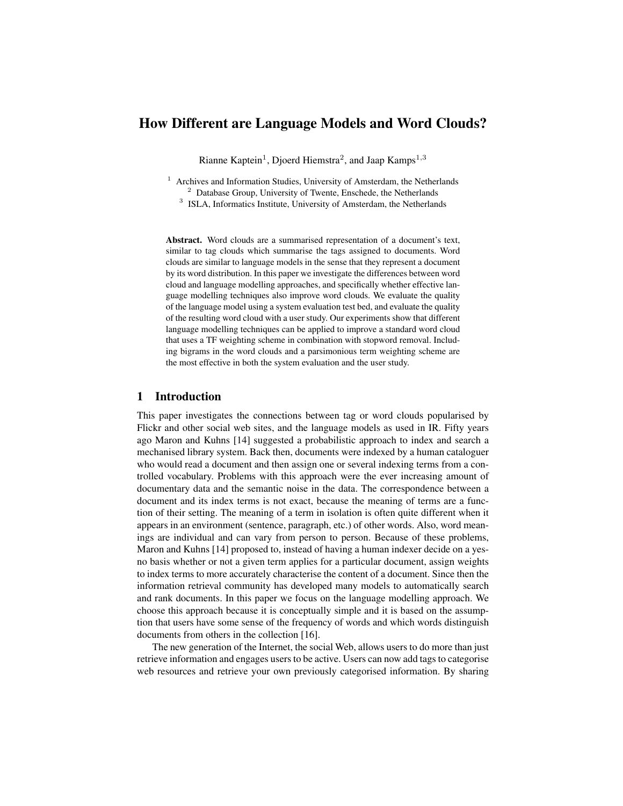# How Different are Language Models and Word Clouds?

Rianne Kaptein<sup>1</sup>, Djoerd Hiemstra<sup>2</sup>, and Jaap Kamps<sup>1,3</sup>

<sup>1</sup> Archives and Information Studies, University of Amsterdam, the Netherlands  $2$  Database Group, University of Twente, Enschede, the Netherlands

<sup>3</sup> ISLA, Informatics Institute, University of Amsterdam, the Netherlands

Abstract. Word clouds are a summarised representation of a document's text, similar to tag clouds which summarise the tags assigned to documents. Word clouds are similar to language models in the sense that they represent a document by its word distribution. In this paper we investigate the differences between word cloud and language modelling approaches, and specifically whether effective language modelling techniques also improve word clouds. We evaluate the quality of the language model using a system evaluation test bed, and evaluate the quality of the resulting word cloud with a user study. Our experiments show that different language modelling techniques can be applied to improve a standard word cloud that uses a TF weighting scheme in combination with stopword removal. Including bigrams in the word clouds and a parsimonious term weighting scheme are the most effective in both the system evaluation and the user study.

# 1 Introduction

This paper investigates the connections between tag or word clouds popularised by Flickr and other social web sites, and the language models as used in IR. Fifty years ago Maron and Kuhns [14] suggested a probabilistic approach to index and search a mechanised library system. Back then, documents were indexed by a human cataloguer who would read a document and then assign one or several indexing terms from a controlled vocabulary. Problems with this approach were the ever increasing amount of documentary data and the semantic noise in the data. The correspondence between a document and its index terms is not exact, because the meaning of terms are a function of their setting. The meaning of a term in isolation is often quite different when it appears in an environment (sentence, paragraph, etc.) of other words. Also, word meanings are individual and can vary from person to person. Because of these problems, Maron and Kuhns [14] proposed to, instead of having a human indexer decide on a yesno basis whether or not a given term applies for a particular document, assign weights to index terms to more accurately characterise the content of a document. Since then the information retrieval community has developed many models to automatically search and rank documents. In this paper we focus on the language modelling approach. We choose this approach because it is conceptually simple and it is based on the assumption that users have some sense of the frequency of words and which words distinguish documents from others in the collection [16].

The new generation of the Internet, the social Web, allows users to do more than just retrieve information and engages users to be active. Users can now add tags to categorise web resources and retrieve your own previously categorised information. By sharing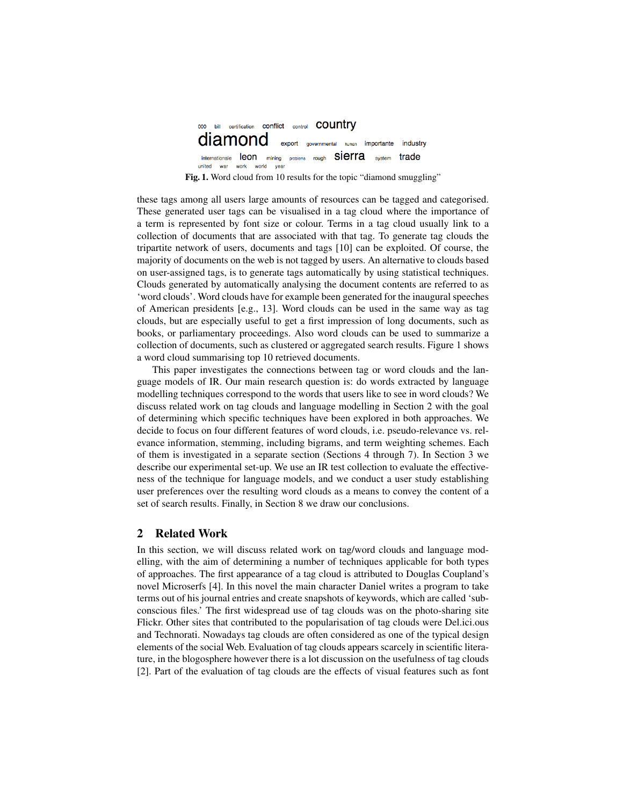000 bill certification conflict control **COUNTY** diamond export governmental human importante industry internationale Ieon mining problems rough SIEFTA system trade united war work world year Fig. 1. Word cloud from 10 results for the topic "diamond smuggling"

these tags among all users large amounts of resources can be tagged and categorised. These generated user tags can be visualised in a tag cloud where the importance of a term is represented by font size or colour. Terms in a tag cloud usually link to a collection of documents that are associated with that tag. To generate tag clouds the tripartite network of users, documents and tags [10] can be exploited. Of course, the majority of documents on the web is not tagged by users. An alternative to clouds based on user-assigned tags, is to generate tags automatically by using statistical techniques. Clouds generated by automatically analysing the document contents are referred to as 'word clouds'. Word clouds have for example been generated for the inaugural speeches of American presidents [e.g., 13]. Word clouds can be used in the same way as tag clouds, but are especially useful to get a first impression of long documents, such as books, or parliamentary proceedings. Also word clouds can be used to summarize a collection of documents, such as clustered or aggregated search results. Figure 1 shows a word cloud summarising top 10 retrieved documents.

This paper investigates the connections between tag or word clouds and the language models of IR. Our main research question is: do words extracted by language modelling techniques correspond to the words that users like to see in word clouds? We discuss related work on tag clouds and language modelling in Section 2 with the goal of determining which specific techniques have been explored in both approaches. We decide to focus on four different features of word clouds, i.e. pseudo-relevance vs. relevance information, stemming, including bigrams, and term weighting schemes. Each of them is investigated in a separate section (Sections 4 through 7). In Section 3 we describe our experimental set-up. We use an IR test collection to evaluate the effectiveness of the technique for language models, and we conduct a user study establishing user preferences over the resulting word clouds as a means to convey the content of a set of search results. Finally, in Section 8 we draw our conclusions.

### 2 Related Work

In this section, we will discuss related work on tag/word clouds and language modelling, with the aim of determining a number of techniques applicable for both types of approaches. The first appearance of a tag cloud is attributed to Douglas Coupland's novel Microserfs [4]. In this novel the main character Daniel writes a program to take terms out of his journal entries and create snapshots of keywords, which are called 'subconscious files.' The first widespread use of tag clouds was on the photo-sharing site Flickr. Other sites that contributed to the popularisation of tag clouds were Del.ici.ous and Technorati. Nowadays tag clouds are often considered as one of the typical design elements of the social Web. Evaluation of tag clouds appears scarcely in scientific literature, in the blogosphere however there is a lot discussion on the usefulness of tag clouds [2]. Part of the evaluation of tag clouds are the effects of visual features such as font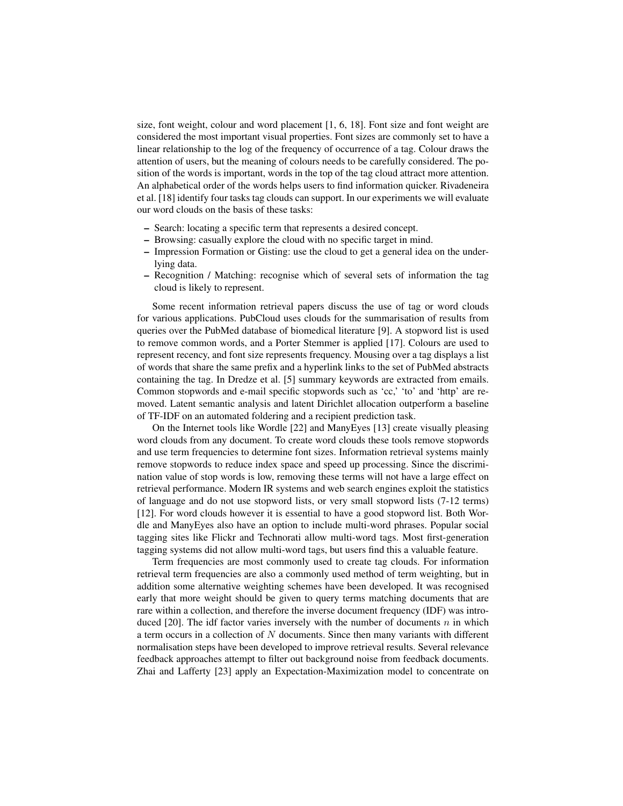size, font weight, colour and word placement [1, 6, 18]. Font size and font weight are considered the most important visual properties. Font sizes are commonly set to have a linear relationship to the log of the frequency of occurrence of a tag. Colour draws the attention of users, but the meaning of colours needs to be carefully considered. The position of the words is important, words in the top of the tag cloud attract more attention. An alphabetical order of the words helps users to find information quicker. Rivadeneira et al. [18] identify four tasks tag clouds can support. In our experiments we will evaluate our word clouds on the basis of these tasks:

- Search: locating a specific term that represents a desired concept.
- Browsing: casually explore the cloud with no specific target in mind.
- Impression Formation or Gisting: use the cloud to get a general idea on the underlying data.
- Recognition / Matching: recognise which of several sets of information the tag cloud is likely to represent.

Some recent information retrieval papers discuss the use of tag or word clouds for various applications. PubCloud uses clouds for the summarisation of results from queries over the PubMed database of biomedical literature [9]. A stopword list is used to remove common words, and a Porter Stemmer is applied [17]. Colours are used to represent recency, and font size represents frequency. Mousing over a tag displays a list of words that share the same prefix and a hyperlink links to the set of PubMed abstracts containing the tag. In Dredze et al. [5] summary keywords are extracted from emails. Common stopwords and e-mail specific stopwords such as 'cc,' 'to' and 'http' are removed. Latent semantic analysis and latent Dirichlet allocation outperform a baseline of TF-IDF on an automated foldering and a recipient prediction task.

On the Internet tools like Wordle [22] and ManyEyes [13] create visually pleasing word clouds from any document. To create word clouds these tools remove stopwords and use term frequencies to determine font sizes. Information retrieval systems mainly remove stopwords to reduce index space and speed up processing. Since the discrimination value of stop words is low, removing these terms will not have a large effect on retrieval performance. Modern IR systems and web search engines exploit the statistics of language and do not use stopword lists, or very small stopword lists (7-12 terms) [12]. For word clouds however it is essential to have a good stopword list. Both Wordle and ManyEyes also have an option to include multi-word phrases. Popular social tagging sites like Flickr and Technorati allow multi-word tags. Most first-generation tagging systems did not allow multi-word tags, but users find this a valuable feature.

Term frequencies are most commonly used to create tag clouds. For information retrieval term frequencies are also a commonly used method of term weighting, but in addition some alternative weighting schemes have been developed. It was recognised early that more weight should be given to query terms matching documents that are rare within a collection, and therefore the inverse document frequency (IDF) was introduced [20]. The idf factor varies inversely with the number of documents  $n$  in which a term occurs in a collection of N documents. Since then many variants with different normalisation steps have been developed to improve retrieval results. Several relevance feedback approaches attempt to filter out background noise from feedback documents. Zhai and Lafferty [23] apply an Expectation-Maximization model to concentrate on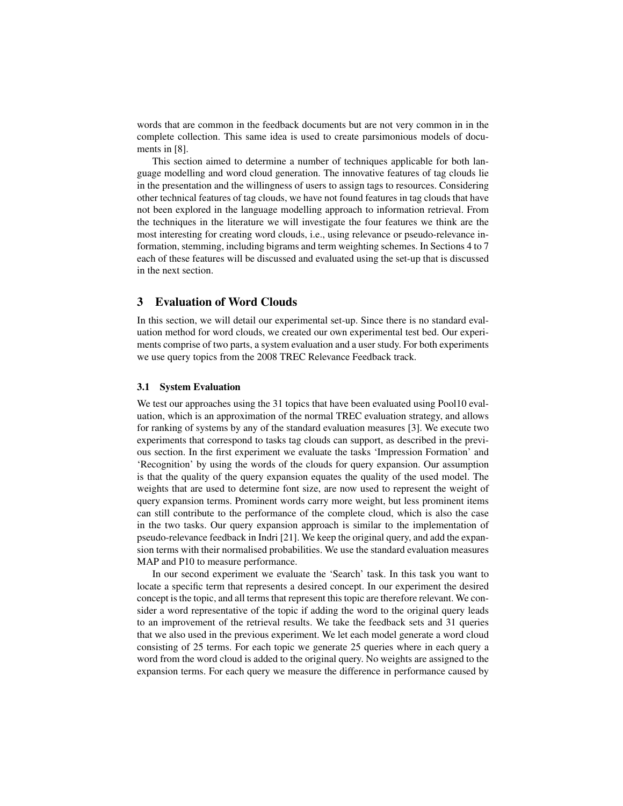words that are common in the feedback documents but are not very common in in the complete collection. This same idea is used to create parsimonious models of documents in [8].

This section aimed to determine a number of techniques applicable for both language modelling and word cloud generation. The innovative features of tag clouds lie in the presentation and the willingness of users to assign tags to resources. Considering other technical features of tag clouds, we have not found features in tag clouds that have not been explored in the language modelling approach to information retrieval. From the techniques in the literature we will investigate the four features we think are the most interesting for creating word clouds, i.e., using relevance or pseudo-relevance information, stemming, including bigrams and term weighting schemes. In Sections 4 to 7 each of these features will be discussed and evaluated using the set-up that is discussed in the next section.

# 3 Evaluation of Word Clouds

In this section, we will detail our experimental set-up. Since there is no standard evaluation method for word clouds, we created our own experimental test bed. Our experiments comprise of two parts, a system evaluation and a user study. For both experiments we use query topics from the 2008 TREC Relevance Feedback track.

#### 3.1 System Evaluation

We test our approaches using the 31 topics that have been evaluated using Pool10 evaluation, which is an approximation of the normal TREC evaluation strategy, and allows for ranking of systems by any of the standard evaluation measures [3]. We execute two experiments that correspond to tasks tag clouds can support, as described in the previous section. In the first experiment we evaluate the tasks 'Impression Formation' and 'Recognition' by using the words of the clouds for query expansion. Our assumption is that the quality of the query expansion equates the quality of the used model. The weights that are used to determine font size, are now used to represent the weight of query expansion terms. Prominent words carry more weight, but less prominent items can still contribute to the performance of the complete cloud, which is also the case in the two tasks. Our query expansion approach is similar to the implementation of pseudo-relevance feedback in Indri [21]. We keep the original query, and add the expansion terms with their normalised probabilities. We use the standard evaluation measures MAP and P10 to measure performance.

In our second experiment we evaluate the 'Search' task. In this task you want to locate a specific term that represents a desired concept. In our experiment the desired concept is the topic, and all terms that represent this topic are therefore relevant. We consider a word representative of the topic if adding the word to the original query leads to an improvement of the retrieval results. We take the feedback sets and 31 queries that we also used in the previous experiment. We let each model generate a word cloud consisting of 25 terms. For each topic we generate 25 queries where in each query a word from the word cloud is added to the original query. No weights are assigned to the expansion terms. For each query we measure the difference in performance caused by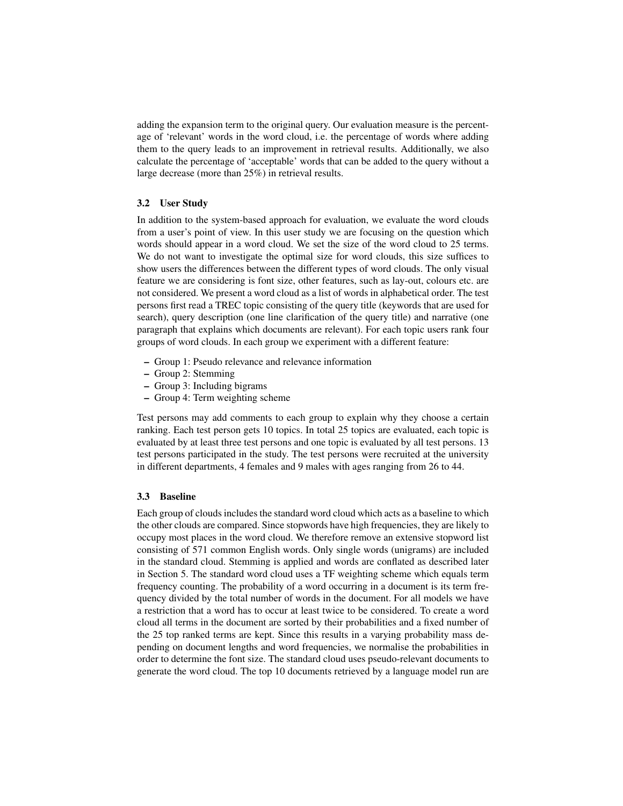adding the expansion term to the original query. Our evaluation measure is the percentage of 'relevant' words in the word cloud, i.e. the percentage of words where adding them to the query leads to an improvement in retrieval results. Additionally, we also calculate the percentage of 'acceptable' words that can be added to the query without a large decrease (more than 25%) in retrieval results.

#### 3.2 User Study

In addition to the system-based approach for evaluation, we evaluate the word clouds from a user's point of view. In this user study we are focusing on the question which words should appear in a word cloud. We set the size of the word cloud to 25 terms. We do not want to investigate the optimal size for word clouds, this size suffices to show users the differences between the different types of word clouds. The only visual feature we are considering is font size, other features, such as lay-out, colours etc. are not considered. We present a word cloud as a list of words in alphabetical order. The test persons first read a TREC topic consisting of the query title (keywords that are used for search), query description (one line clarification of the query title) and narrative (one paragraph that explains which documents are relevant). For each topic users rank four groups of word clouds. In each group we experiment with a different feature:

- Group 1: Pseudo relevance and relevance information
- Group 2: Stemming
- Group 3: Including bigrams
- Group 4: Term weighting scheme

Test persons may add comments to each group to explain why they choose a certain ranking. Each test person gets 10 topics. In total 25 topics are evaluated, each topic is evaluated by at least three test persons and one topic is evaluated by all test persons. 13 test persons participated in the study. The test persons were recruited at the university in different departments, 4 females and 9 males with ages ranging from 26 to 44.

#### 3.3 Baseline

Each group of clouds includes the standard word cloud which acts as a baseline to which the other clouds are compared. Since stopwords have high frequencies, they are likely to occupy most places in the word cloud. We therefore remove an extensive stopword list consisting of 571 common English words. Only single words (unigrams) are included in the standard cloud. Stemming is applied and words are conflated as described later in Section 5. The standard word cloud uses a TF weighting scheme which equals term frequency counting. The probability of a word occurring in a document is its term frequency divided by the total number of words in the document. For all models we have a restriction that a word has to occur at least twice to be considered. To create a word cloud all terms in the document are sorted by their probabilities and a fixed number of the 25 top ranked terms are kept. Since this results in a varying probability mass depending on document lengths and word frequencies, we normalise the probabilities in order to determine the font size. The standard cloud uses pseudo-relevant documents to generate the word cloud. The top 10 documents retrieved by a language model run are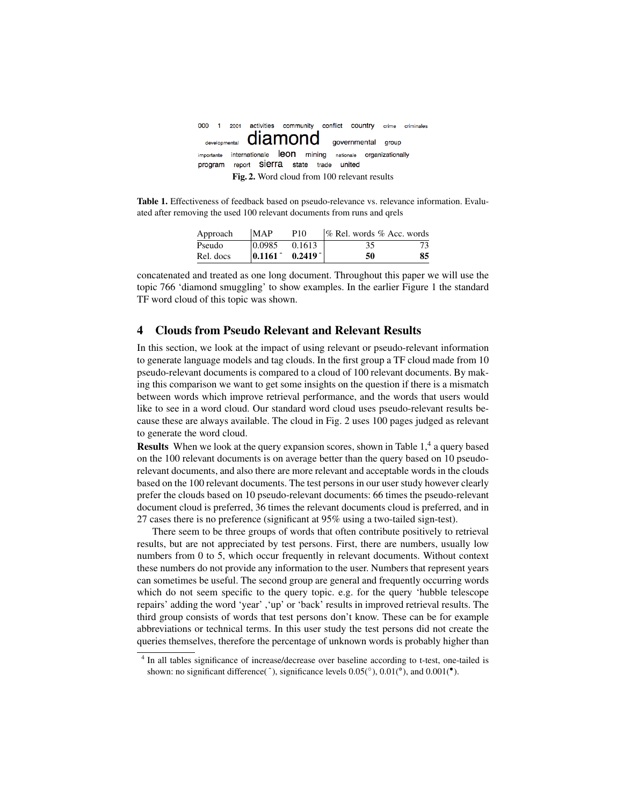|         |  | 000 1 2001 activities community conflict COUNtry crime criminales                                    |  |  |
|---------|--|------------------------------------------------------------------------------------------------------|--|--|
|         |  | divelopmental <b>diamond</b> governmental group                                                      |  |  |
| program |  | importante internationale ICON mining nationale organizationally<br>report Sierra state trade united |  |  |
|         |  | Fig. 2. Word cloud from 100 relevant results                                                         |  |  |

Table 1. Effectiveness of feedback based on pseudo-relevance vs. relevance information. Evaluated after removing the used 100 relevant documents from runs and qrels

| Approach  | <b>MAP</b>                    | P <sub>10</sub> | % Rel. words % Acc. words |    |
|-----------|-------------------------------|-----------------|---------------------------|----|
| Pseudo    | 0.0985                        | 0.1613          | 35                        |    |
| Rel. docs | $\vert 0.1161 - 0.2419 \vert$ |                 | 50                        | 85 |

concatenated and treated as one long document. Throughout this paper we will use the topic 766 'diamond smuggling' to show examples. In the earlier Figure 1 the standard TF word cloud of this topic was shown.

### 4 Clouds from Pseudo Relevant and Relevant Results

In this section, we look at the impact of using relevant or pseudo-relevant information to generate language models and tag clouds. In the first group a TF cloud made from 10 pseudo-relevant documents is compared to a cloud of 100 relevant documents. By making this comparison we want to get some insights on the question if there is a mismatch between words which improve retrieval performance, and the words that users would like to see in a word cloud. Our standard word cloud uses pseudo-relevant results because these are always available. The cloud in Fig. 2 uses 100 pages judged as relevant to generate the word cloud.

**Results** When we look at the query expansion scores, shown in Table  $1<sup>4</sup>$  a query based on the 100 relevant documents is on average better than the query based on 10 pseudorelevant documents, and also there are more relevant and acceptable words in the clouds based on the 100 relevant documents. The test persons in our user study however clearly prefer the clouds based on 10 pseudo-relevant documents: 66 times the pseudo-relevant document cloud is preferred, 36 times the relevant documents cloud is preferred, and in 27 cases there is no preference (significant at 95% using a two-tailed sign-test).

There seem to be three groups of words that often contribute positively to retrieval results, but are not appreciated by test persons. First, there are numbers, usually low numbers from 0 to 5, which occur frequently in relevant documents. Without context these numbers do not provide any information to the user. Numbers that represent years can sometimes be useful. The second group are general and frequently occurring words which do not seem specific to the query topic. e.g. for the query 'hubble telescope repairs' adding the word 'year' ,'up' or 'back' results in improved retrieval results. The third group consists of words that test persons don't know. These can be for example abbreviations or technical terms. In this user study the test persons did not create the queries themselves, therefore the percentage of unknown words is probably higher than

<sup>&</sup>lt;sup>4</sup> In all tables significance of increase/decrease over baseline according to t-test, one-tailed is shown: no significant difference( $\bar{\ }$ ), significance levels  $0.05(^{\circ})$ ,  $0.01(^{\circ})$ , and  $0.001(^{\circ})$ .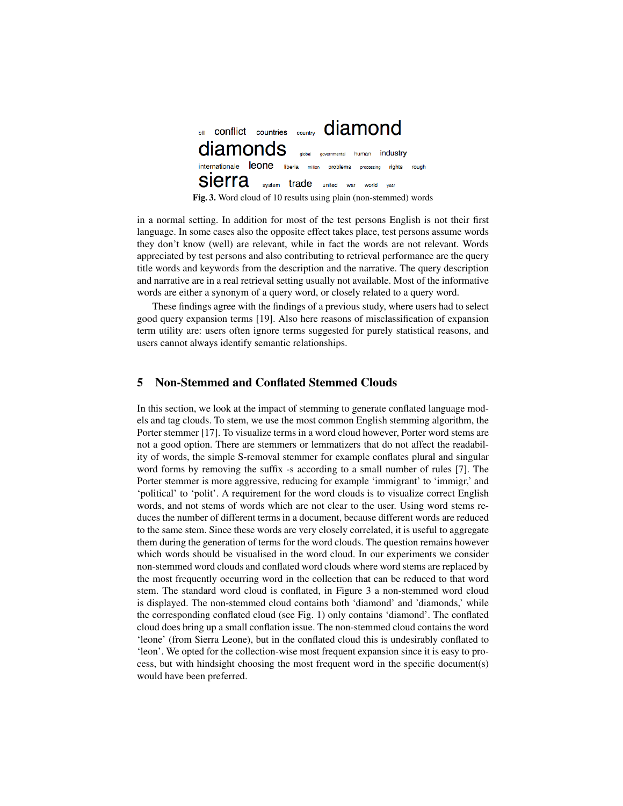

in a normal setting. In addition for most of the test persons English is not their first language. In some cases also the opposite effect takes place, test persons assume words they don't know (well) are relevant, while in fact the words are not relevant. Words appreciated by test persons and also contributing to retrieval performance are the query title words and keywords from the description and the narrative. The query description and narrative are in a real retrieval setting usually not available. Most of the informative words are either a synonym of a query word, or closely related to a query word.

These findings agree with the findings of a previous study, where users had to select good query expansion terms [19]. Also here reasons of misclassification of expansion term utility are: users often ignore terms suggested for purely statistical reasons, and users cannot always identify semantic relationships.

### 5 Non-Stemmed and Conflated Stemmed Clouds

In this section, we look at the impact of stemming to generate conflated language models and tag clouds. To stem, we use the most common English stemming algorithm, the Porter stemmer [17]. To visualize terms in a word cloud however, Porter word stems are not a good option. There are stemmers or lemmatizers that do not affect the readability of words, the simple S-removal stemmer for example conflates plural and singular word forms by removing the suffix -s according to a small number of rules [7]. The Porter stemmer is more aggressive, reducing for example 'immigrant' to 'immigr,' and 'political' to 'polit'. A requirement for the word clouds is to visualize correct English words, and not stems of words which are not clear to the user. Using word stems reduces the number of different terms in a document, because different words are reduced to the same stem. Since these words are very closely correlated, it is useful to aggregate them during the generation of terms for the word clouds. The question remains however which words should be visualised in the word cloud. In our experiments we consider non-stemmed word clouds and conflated word clouds where word stems are replaced by the most frequently occurring word in the collection that can be reduced to that word stem. The standard word cloud is conflated, in Figure 3 a non-stemmed word cloud is displayed. The non-stemmed cloud contains both 'diamond' and 'diamonds,' while the corresponding conflated cloud (see Fig. 1) only contains 'diamond'. The conflated cloud does bring up a small conflation issue. The non-stemmed cloud contains the word 'leone' (from Sierra Leone), but in the conflated cloud this is undesirably conflated to 'leon'. We opted for the collection-wise most frequent expansion since it is easy to process, but with hindsight choosing the most frequent word in the specific document(s) would have been preferred.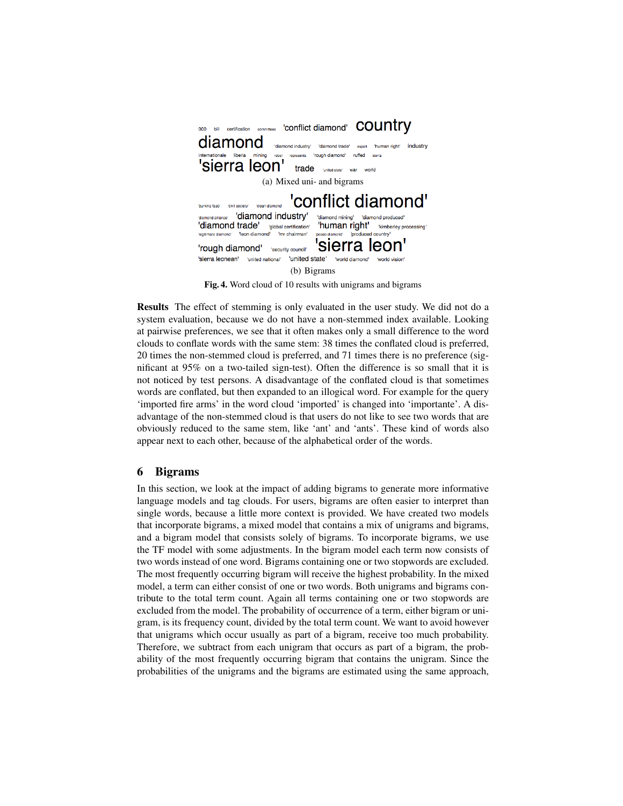

Fig. 4. Word cloud of 10 results with unigrams and bigrams

Results The effect of stemming is only evaluated in the user study. We did not do a system evaluation, because we do not have a non-stemmed index available. Looking at pairwise preferences, we see that it often makes only a small difference to the word clouds to conflate words with the same stem: 38 times the conflated cloud is preferred, 20 times the non-stemmed cloud is preferred, and 71 times there is no preference (significant at 95% on a two-tailed sign-test). Often the difference is so small that it is not noticed by test persons. A disadvantage of the conflated cloud is that sometimes words are conflated, but then expanded to an illogical word. For example for the query 'imported fire arms' in the word cloud 'imported' is changed into 'importante'. A disadvantage of the non-stemmed cloud is that users do not like to see two words that are obviously reduced to the same stem, like 'ant' and 'ants'. These kind of words also appear next to each other, because of the alphabetical order of the words.

### 6 Bigrams

In this section, we look at the impact of adding bigrams to generate more informative language models and tag clouds. For users, bigrams are often easier to interpret than single words, because a little more context is provided. We have created two models that incorporate bigrams, a mixed model that contains a mix of unigrams and bigrams, and a bigram model that consists solely of bigrams. To incorporate bigrams, we use the TF model with some adjustments. In the bigram model each term now consists of two words instead of one word. Bigrams containing one or two stopwords are excluded. The most frequently occurring bigram will receive the highest probability. In the mixed model, a term can either consist of one or two words. Both unigrams and bigrams contribute to the total term count. Again all terms containing one or two stopwords are excluded from the model. The probability of occurrence of a term, either bigram or unigram, is its frequency count, divided by the total term count. We want to avoid however that unigrams which occur usually as part of a bigram, receive too much probability. Therefore, we subtract from each unigram that occurs as part of a bigram, the probability of the most frequently occurring bigram that contains the unigram. Since the probabilities of the unigrams and the bigrams are estimated using the same approach,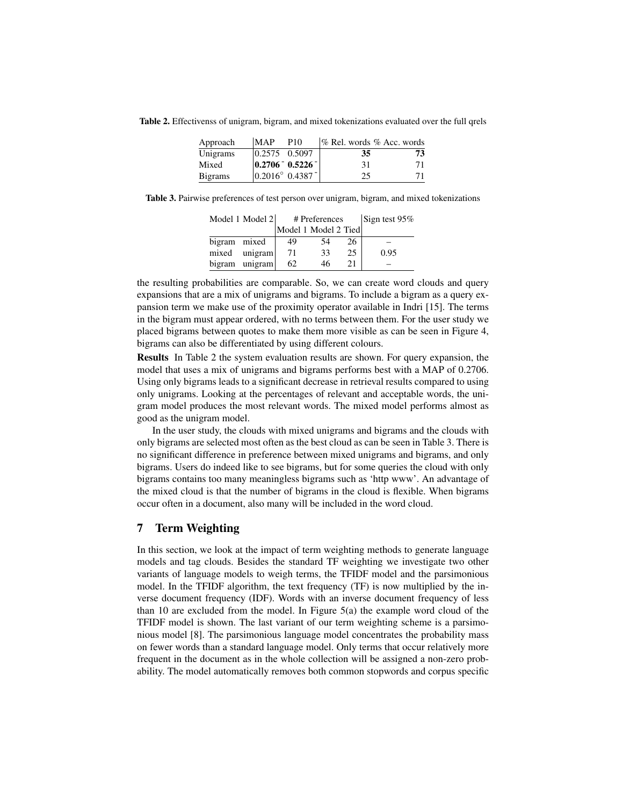Table 2. Effectivenss of unigram, bigram, and mixed tokenizations evaluated over the full qrels

| Approach       | <b>MAP</b>              | <b>P10</b>        | $\%$ Rel. words $\%$ Acc. words |    |
|----------------|-------------------------|-------------------|---------------------------------|----|
| Unigrams       | $ 0.2575 \quad 0.5097$  |                   | 35                              | 73 |
| Mixed          |                         | $0.2706 - 0.5226$ | 31                              | 71 |
| <b>Bigrams</b> | $0.2016^{\circ}$ 0.4387 |                   | 25                              | 71 |

Table 3. Pairwise preferences of test person over unigram, bigram, and mixed tokenizations

| Model 1 Model 2 |                |                      | # Preferences | Sign test 95% |      |
|-----------------|----------------|----------------------|---------------|---------------|------|
|                 |                | Model 1 Model 2 Tied |               |               |      |
| bigram mixed    |                | 49                   | 54            | 26            |      |
|                 | mixed unigram  | 71                   | 33            | 25            | 0.95 |
|                 | bigram unigram | 62                   | 46            | 21            |      |

the resulting probabilities are comparable. So, we can create word clouds and query expansions that are a mix of unigrams and bigrams. To include a bigram as a query expansion term we make use of the proximity operator available in Indri [15]. The terms in the bigram must appear ordered, with no terms between them. For the user study we placed bigrams between quotes to make them more visible as can be seen in Figure 4, bigrams can also be differentiated by using different colours.

Results In Table 2 the system evaluation results are shown. For query expansion, the model that uses a mix of unigrams and bigrams performs best with a MAP of 0.2706. Using only bigrams leads to a significant decrease in retrieval results compared to using only unigrams. Looking at the percentages of relevant and acceptable words, the unigram model produces the most relevant words. The mixed model performs almost as good as the unigram model.

In the user study, the clouds with mixed unigrams and bigrams and the clouds with only bigrams are selected most often as the best cloud as can be seen in Table 3. There is no significant difference in preference between mixed unigrams and bigrams, and only bigrams. Users do indeed like to see bigrams, but for some queries the cloud with only bigrams contains too many meaningless bigrams such as 'http www'. An advantage of the mixed cloud is that the number of bigrams in the cloud is flexible. When bigrams occur often in a document, also many will be included in the word cloud.

### 7 Term Weighting

In this section, we look at the impact of term weighting methods to generate language models and tag clouds. Besides the standard TF weighting we investigate two other variants of language models to weigh terms, the TFIDF model and the parsimonious model. In the TFIDF algorithm, the text frequency (TF) is now multiplied by the inverse document frequency (IDF). Words with an inverse document frequency of less than 10 are excluded from the model. In Figure 5(a) the example word cloud of the TFIDF model is shown. The last variant of our term weighting scheme is a parsimonious model [8]. The parsimonious language model concentrates the probability mass on fewer words than a standard language model. Only terms that occur relatively more frequent in the document as in the whole collection will be assigned a non-zero probability. The model automatically removes both common stopwords and corpus specific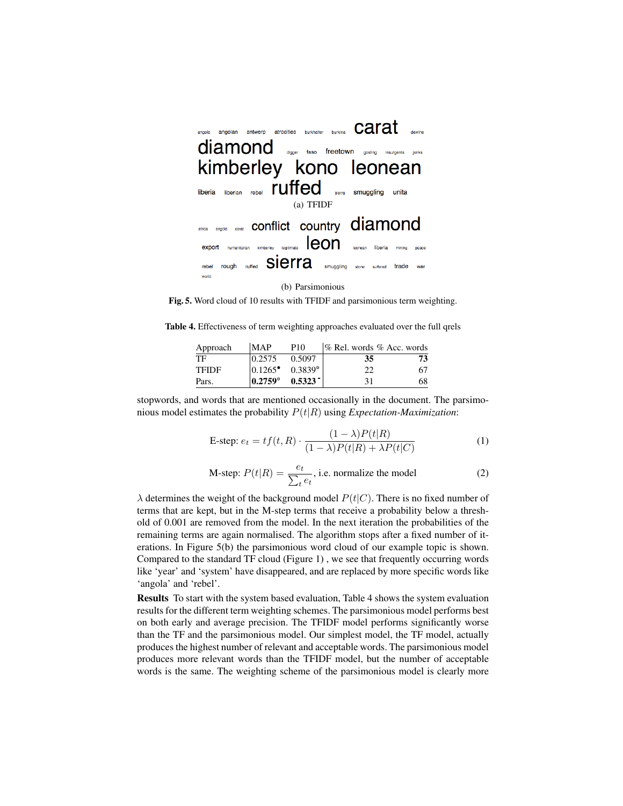| angola  | angolan antwerp | atrocities burkhalter burkina        |             |                  |           | carat    |                   |       |
|---------|-----------------|--------------------------------------|-------------|------------------|-----------|----------|-------------------|-------|
|         | diamond         | digger                               | faso        | freetown         |           | aosling  | <b>Insurgents</b> | jenks |
|         |                 | kimberley kono leonean               |             |                  |           |          |                   |       |
| liberia | liberian        | rebel ruffed                         |             | sierra           | smuggling |          | unita             |       |
|         |                 |                                      | $(a)$ TFIDF |                  |           |          |                   |       |
| africa  | angola          | and conflict country diamond         |             |                  |           |          |                   |       |
| export  |                 | legitimate                           | leon        |                  |           | liberia  | minino            | peace |
| rebel   |                 | rough ruffed <b>SIETTA</b> smuggling |             |                  | stone     | suffered | trade             | war   |
| world   |                 |                                      |             | (b) Parsimonious |           |          |                   |       |

Fig. 5. Word cloud of 10 results with TFIDF and parsimonious term weighting.

Table 4. Effectiveness of term weighting approaches evaluated over the full qrels

| Approach     | <b>MAP</b>       | P <sub>10</sub>  | % Rel. words % Acc. words |    |
|--------------|------------------|------------------|---------------------------|----|
| TF           | 0.2575           | 0.5097           | 35                        | 73 |
| <b>TFIDF</b> | $0.1265^{\circ}$ | $0.3839^{\circ}$ | 22                        | 67 |
| Pars.        | $0.2759^{\circ}$ | 0.5323           | 31                        | 68 |

stopwords, and words that are mentioned occasionally in the document. The parsimonious model estimates the probability P(t|R) using *Expectation-Maximization*:

E-step: 
$$
e_t = tf(t, R) \cdot \frac{(1 - \lambda)P(t|R)}{(1 - \lambda)P(t|R) + \lambda P(t|C)}
$$
 (1)

M-step: 
$$
P(t|R) = \frac{e_t}{\sum_t e_t}
$$
, i.e. normalize the model (2)

 $\lambda$  determines the weight of the background model  $P(t|C)$ . There is no fixed number of terms that are kept, but in the M-step terms that receive a probability below a threshold of 0.001 are removed from the model. In the next iteration the probabilities of the remaining terms are again normalised. The algorithm stops after a fixed number of iterations. In Figure 5(b) the parsimonious word cloud of our example topic is shown. Compared to the standard TF cloud (Figure 1) , we see that frequently occurring words like 'year' and 'system' have disappeared, and are replaced by more specific words like 'angola' and 'rebel'.

Results To start with the system based evaluation, Table 4 shows the system evaluation results for the different term weighting schemes. The parsimonious model performs best on both early and average precision. The TFIDF model performs significantly worse than the TF and the parsimonious model. Our simplest model, the TF model, actually produces the highest number of relevant and acceptable words. The parsimonious model produces more relevant words than the TFIDF model, but the number of acceptable words is the same. The weighting scheme of the parsimonious model is clearly more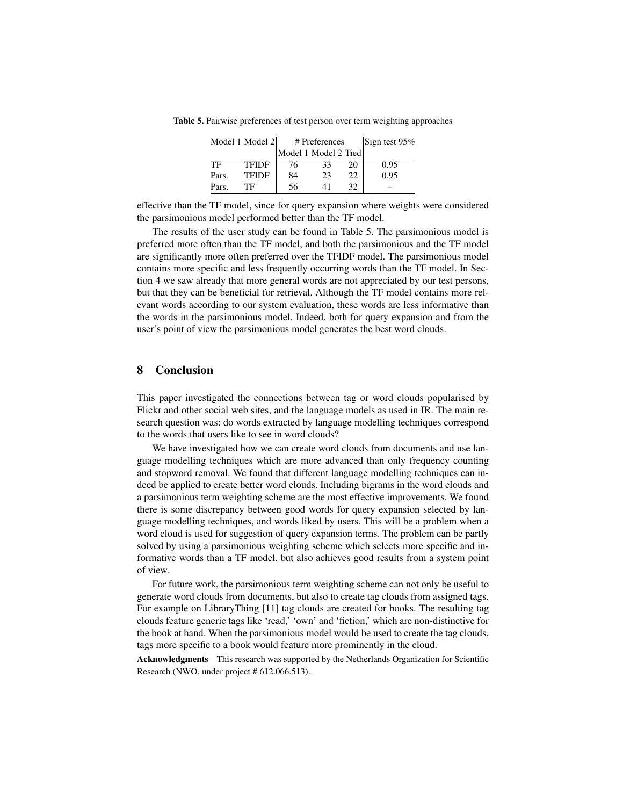| Model 1 Model 2 |              |                      | # Preferences | Sign test $95%$ |      |
|-----------------|--------------|----------------------|---------------|-----------------|------|
|                 |              | Model 1 Model 2 Tied |               |                 |      |
| TF              | <b>TFIDF</b> | 76                   | 33            | 20              | 0.95 |
| Pars.           | <b>TFIDF</b> | 84                   | 23            | 22.             | 0.95 |
| Pars.           | TF           | 56                   |               | 32.             |      |

Table 5. Pairwise preferences of test person over term weighting approaches

effective than the TF model, since for query expansion where weights were considered the parsimonious model performed better than the TF model.

The results of the user study can be found in Table 5. The parsimonious model is preferred more often than the TF model, and both the parsimonious and the TF model are significantly more often preferred over the TFIDF model. The parsimonious model contains more specific and less frequently occurring words than the TF model. In Section 4 we saw already that more general words are not appreciated by our test persons, but that they can be beneficial for retrieval. Although the TF model contains more relevant words according to our system evaluation, these words are less informative than the words in the parsimonious model. Indeed, both for query expansion and from the user's point of view the parsimonious model generates the best word clouds.

### 8 Conclusion

This paper investigated the connections between tag or word clouds popularised by Flickr and other social web sites, and the language models as used in IR. The main research question was: do words extracted by language modelling techniques correspond to the words that users like to see in word clouds?

We have investigated how we can create word clouds from documents and use language modelling techniques which are more advanced than only frequency counting and stopword removal. We found that different language modelling techniques can indeed be applied to create better word clouds. Including bigrams in the word clouds and a parsimonious term weighting scheme are the most effective improvements. We found there is some discrepancy between good words for query expansion selected by language modelling techniques, and words liked by users. This will be a problem when a word cloud is used for suggestion of query expansion terms. The problem can be partly solved by using a parsimonious weighting scheme which selects more specific and informative words than a TF model, but also achieves good results from a system point of view.

For future work, the parsimonious term weighting scheme can not only be useful to generate word clouds from documents, but also to create tag clouds from assigned tags. For example on LibraryThing [11] tag clouds are created for books. The resulting tag clouds feature generic tags like 'read,' 'own' and 'fiction,' which are non-distinctive for the book at hand. When the parsimonious model would be used to create the tag clouds, tags more specific to a book would feature more prominently in the cloud.

Acknowledgments This research was supported by the Netherlands Organization for Scientific Research (NWO, under project # 612.066.513).